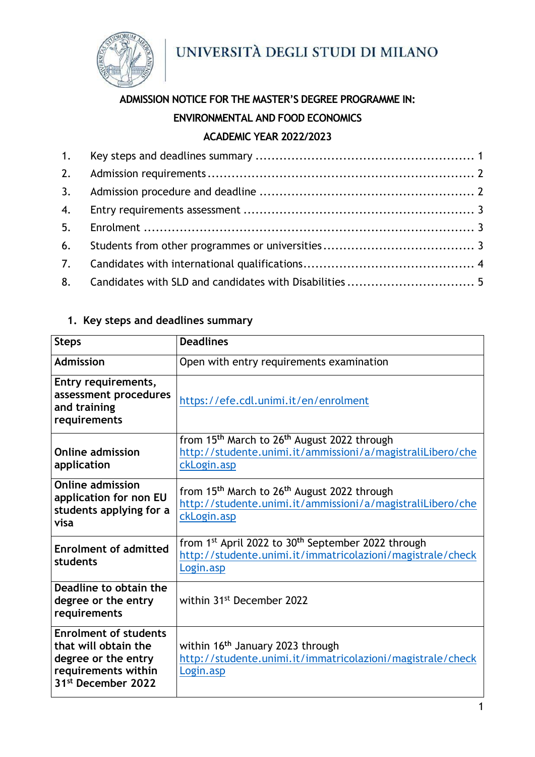

# **ADMISSION NOTICE FOR THE MASTER'S DEGREE PROGRAMME IN: ENVIRONMENTAL AND FOOD ECONOMICS ACADEMIC YEAR 2022/2023**

# <span id="page-0-0"></span>**1. Key steps and deadlines summary**

| <b>Steps</b>                                                                                                                         | <b>Deadlines</b>                                                                                                                                      |
|--------------------------------------------------------------------------------------------------------------------------------------|-------------------------------------------------------------------------------------------------------------------------------------------------------|
| <b>Admission</b>                                                                                                                     | Open with entry requirements examination                                                                                                              |
| Entry requirements,<br>assessment procedures<br>and training<br>requirements                                                         | https://efe.cdl.unimi.it/en/enrolment                                                                                                                 |
| <b>Online admission</b><br>application                                                                                               | from 15 <sup>th</sup> March to 26 <sup>th</sup> August 2022 through<br>http://studente.unimi.it/ammissioni/a/magistraliLibero/che<br>ckLogin.asp      |
| <b>Online admission</b><br>application for non EU<br>students applying for a<br>visa                                                 | from 15 <sup>th</sup> March to 26 <sup>th</sup> August 2022 through<br>http://studente.unimi.it/ammissioni/a/magistraliLibero/che<br>ckLogin.asp      |
| <b>Enrolment of admitted</b><br>students                                                                                             | from 1 <sup>st</sup> April 2022 to 30 <sup>th</sup> September 2022 through<br>http://studente.unimi.it/immatricolazioni/magistrale/check<br>Login.asp |
| Deadline to obtain the<br>degree or the entry<br>requirements                                                                        | within 31 <sup>st</sup> December 2022                                                                                                                 |
| <b>Enrolment of students</b><br>that will obtain the<br>degree or the entry<br>requirements within<br>31 <sup>st</sup> December 2022 | within 16 <sup>th</sup> January 2023 through<br>http://studente.unimi.it/immatricolazioni/magistrale/check<br>Login.asp                               |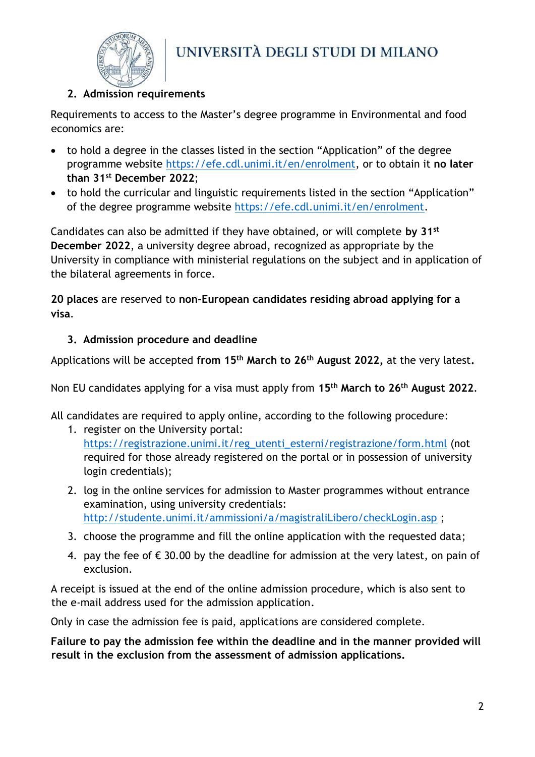

### <span id="page-1-0"></span>**2. Admission requirements**

Requirements to access to the Master's degree programme in Environmental and food economics are:

- to hold a degree in the classes listed in the section "Application" of the degree programme website [https://efe.cdl.unimi.it/en/enrolment,](https://efe.cdl.unimi.it/en/enrolment) or to obtain it **no later than 31st December 2022**;
- to hold the curricular and linguistic requirements listed in the section "Application" of the degree programme website [https://efe.cdl.unimi.it/en/enrolment.](https://efe.cdl.unimi.it/en/enrolment)

Candidates can also be admitted if they have obtained, or will complete **by 31st December 2022**, a university degree abroad, recognized as appropriate by the University in compliance with ministerial regulations on the subject and in application of the bilateral agreements in force.

**20 places** are reserved to **non-European candidates residing abroad applying for a visa**.

#### <span id="page-1-1"></span>**3. Admission procedure and deadline**

Applications will be accepted **from 15th March to 26th August 2022,** at the very latest**.**

Non EU candidates applying for a visa must apply from **15th March to 26th August 2022**.

All candidates are required to apply online, according to the following procedure:

- 1. register on the University portal[:](https://www.unimi.it/registrazione/registra.keb) [https://registrazione.unimi.it/reg\\_utenti\\_esterni/registrazione/form.html](https://registrazione.unimi.it/reg_utenti_esterni/registrazione/form.html) (not required for those already registered on the portal or in possession of university login credentials);
- 2. log in the online services for admission to [Master programmes without entrance](https://studente.unimi.it/ammissioni/a/magistraliLibero/checkLogin.asp)  [examination,](https://studente.unimi.it/ammissioni/a/magistraliLibero/checkLogin.asp) using university credentials: <http://studente.unimi.it/ammissioni/a/magistraliLibero/checkLogin.asp>;
- 3. choose the programme and fill the online application with the requested data;
- 4. pay the fee of  $\epsilon$  30.00 by the deadline for admission at the very latest, on pain of exclusion.

A receipt is issued at the end of the online admission procedure, which is also sent to the e-mail address used for the admission application.

Only in case the admission fee is paid, applications are considered complete.

**Failure to pay the admission fee within the deadline and in the manner provided will result in the exclusion from the assessment of admission applications.**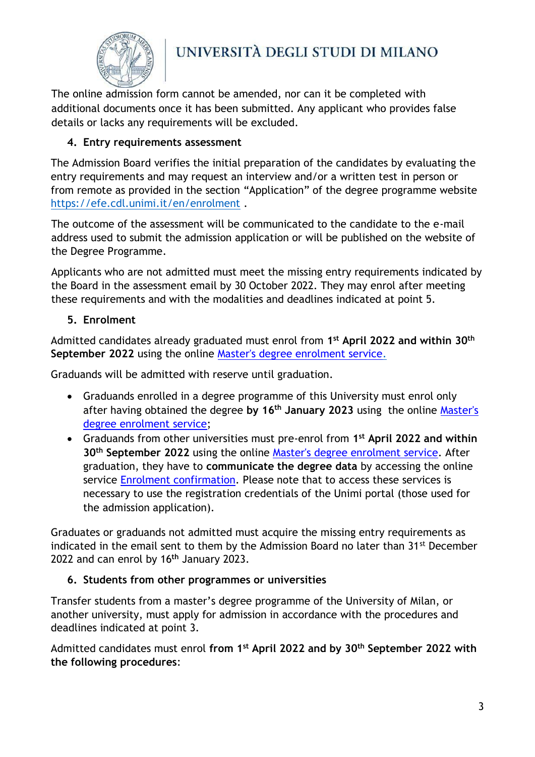

The online admission form cannot be amended, nor can it be completed with additional documents once it has been submitted. Any applicant who provides false details or lacks any requirements will be excluded.

## <span id="page-2-0"></span>**4. Entry requirements assessment**

The Admission Board verifies the initial preparation of the candidates by evaluating the entry requirements and may request an interview and/or a written test in person or from remote as provided in the section "Application" of the degree programme website <https://efe.cdl.unimi.it/en/enrolment> .

The outcome of the assessment will be communicated to the candidate to the e-mail address used to submit the admission application or will be published on the website of the Degree Programme.

Applicants who are not admitted must meet the missing entry requirements indicated by the Board in the assessment email by 30 October 2022. They may enrol after meeting these requirements and with the modalities and deadlines indicated at point 5.

#### <span id="page-2-1"></span>**5. Enrolment**

Admitted candidates already graduated must enrol from **1 st April 2022 and within 30th September 2022** using the online [Master's degree enrolment service.](http://studente.unimi.it/immatricolazioni/magistrale/checkLogin.asp)

Graduands will be admitted with reserve until graduation.

- Graduands enrolled in a degree programme of this University must enrol only after having obtained the degree **by 16th January 2023** using the online [Master's](http://studente.unimi.it/immatricolazioni/magistrale/checkLogin.asp) [degree enrolment service;](http://studente.unimi.it/immatricolazioni/magistrale/checkLogin.asp)
- Graduands from other universities must pre-enrol from **1 st April 2022 and within 30th September 2022** using the online [Master's degree enrolment service.](http://studente.unimi.it/immatricolazioni/magistrale/checkLogin.asp) After graduation, they have to **communicate the degree data** by accessing the online service [Enrolment](http://studente.unimi.it/confermaImm) confirmation. Please note that to access these services is necessary to use the registration credentials of the Unimi portal (those used for the admission application).

Graduates or graduands not admitted must acquire the missing entry requirements as indicated in the email sent to them by the Admission Board no later than 31st December 2022 and can enrol by 16**th** January 2023.

## <span id="page-2-2"></span>**6. Students from other programmes or universities**

Transfer students from a master's degree programme of the University of Milan, or another university, must apply for admission in accordance with the procedures and deadlines indicated at point 3.

Admitted candidates must enrol **from 1st April 2022 and by 30th September 2022 with the following procedures**: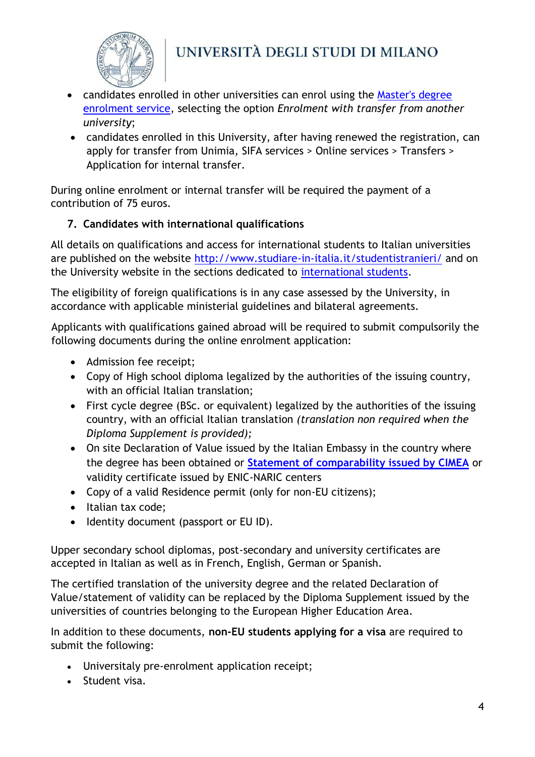

- candidates enrolled in other universities can enrol using the [Master's degree](http://studente.unimi.it/immatricolazioni/magistrale/checkLogin.asp)  [enrolment service,](http://studente.unimi.it/immatricolazioni/magistrale/checkLogin.asp) selecting the option *Enrolment with transfer from another university*;
- candidates enrolled in this University, after having renewed the registration, can apply for transfer from Unimia, SIFA services > Online services > Transfers > Application for internal transfer.

During online enrolment or internal transfer will be required the payment of a contribution of 75 euros.

# <span id="page-3-0"></span>**7. Candidates with international qualifications**

All details on qualifications and access for international students to Italian universities are published on the website<http://www.studiare-in-italia.it/studentistranieri/> and on the University website in the sections dedicated to [international students.](https://www.unimi.it/en/international/coming-abroad/enrol-programme/international-enrolment-degree-programmes)

The eligibility of foreign qualifications is in any case assessed by the University, in accordance with applicable ministerial guidelines and bilateral agreements.

Applicants with qualifications gained abroad will be required to submit compulsorily the following documents during the online enrolment application:

- Admission fee receipt;
- Copy of High school diploma legalized by the authorities of the issuing country, with an official Italian translation;
- First cycle degree (BSc. or equivalent) legalized by the authorities of the issuing country, with an official Italian translation *(translation non required when the Diploma Supplement is provided);*
- On site Declaration of Value issued by the Italian Embassy in the country where the degree has been obtained or **[Statement of comparability issued by CIMEA](http://www.cimea.it/en/servizi/attestati-di-comparabilita-e-certificazione-dei-titoli/attestati-di-comparabilita-e-di-verifica-dei-titoli-diplome.aspx)** or validity certificate issued by ENIC-NARIC centers
- Copy of a valid Residence permit (only for non-EU citizens);
- Italian tax code;
- Identity document (passport or EU ID).

Upper secondary school diplomas, post-secondary and university certificates are accepted in Italian as well as in French, English, German or Spanish.

The certified translation of the university degree and the related Declaration of Value/statement of validity can be replaced by the Diploma Supplement issued by the universities of countries belonging to the European Higher Education Area.

In addition to these documents, **non-EU students applying for a visa** are required to submit the following:

- Universitaly pre-enrolment application receipt;
- Student visa.